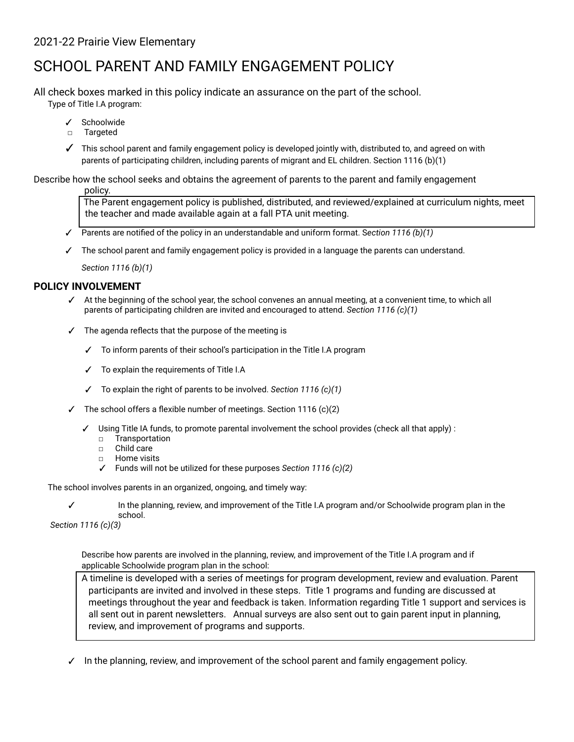# 2021-22 Prairie View Elementary

# SCHOOL PARENT AND FAMILY ENGAGEMENT POLICY

All check boxes marked in this policy indicate an assurance on the part of the school.

Type of Title I.A program:

- ✓ Schoolwide
- □ Targeted
- ✓ This school parent and family engagement policy is developed jointly with, distributed to, and agreed on with parents of participating children, including parents of migrant and EL children. Section 1116 (b)(1)

Describe how the school seeks and obtains the agreement of parents to the parent and family engagement policy.

> The Parent engagement policy is published, distributed, and reviewed/explained at curriculum nights, meet the teacher and made available again at a fall PTA unit meeting.

- ✓ Parents are notified of the policy in an understandable and uniform format. S*ection 1116 (b)(1)*
- ✓ The school parent and family engagement policy is provided in a language the parents can understand.

*Section 1116 (b)(1)*

#### **POLICY INVOLVEMENT**

- ✓ At the beginning of the school year, the school convenes an annual meeting, at a convenient time, to which all parents of participating children are invited and encouraged to attend. *Section 1116 (c)(1)*
- $\checkmark$  The agenda reflects that the purpose of the meeting is
	- ✓ To inform parents of their school's participation in the Title I.A program
	- ✓ To explain the requirements of Title I.A
	- ✓ To explain the right of parents to be involved. *Section 1116 (c)(1)*
- $\checkmark$  The school offers a flexible number of meetings. Section 1116 (c)(2)
	- ✓ Using Title IA funds, to promote parental involvement the school provides (check all that apply) :
		- □ Transportation
		- □ Child care
		- □ Home visits
		- ✓ Funds will not be utilized for these purposes *Section 1116 (c)(2)*

The school involves parents in an organized, ongoing, and timely way:

✓ In the planning, review, and improvement of the Title I.A program and/or Schoolwide program plan in the school.

*Section 1116 (c)(3)*

Describe how parents are involved in the planning, review, and improvement of the Title I.A program and if applicable Schoolwide program plan in the school:

A timeline is developed with a series of meetings for program development, review and evaluation. Parent participants are invited and involved in these steps. Title 1 programs and funding are discussed at meetings throughout the year and feedback is taken. Information regarding Title 1 support and services is all sent out in parent newsletters. Annual surveys are also sent out to gain parent input in planning, review, and improvement of programs and supports.

 $\checkmark$  In the planning, review, and improvement of the school parent and family engagement policy.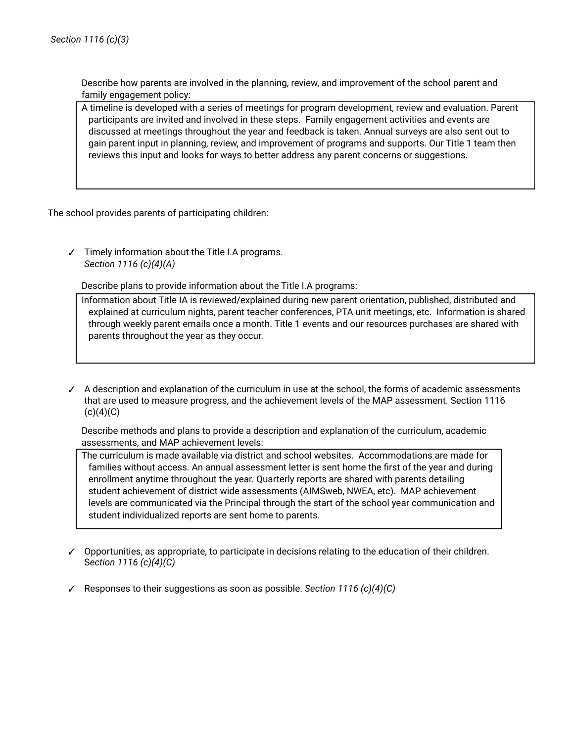Describe how parents are involved in the planning, review, and improvement of the school parent and family engagement policy:

A timeline is developed with a series of meetings for program development, review and evaluation. Parent participants are invited and involved in these steps. Family engagement activities and events are discussed at meetings throughout the year and feedback is taken. Annual surveys are also sent out to gain parent input in planning, review, and improvement of programs and supports. Our Title 1 team then reviews this input and looks for ways to better address any parent concerns or suggestions.

The school provides parents of participating children:

✓ Timely information about the Title I.A programs. *Section 1116 (c)(4)(A)*

Describe plans to provide information about the Title I.A programs:

Information about Title IA is reviewed/explained during new parent orientation, published, distributed and explained at curriculum nights, parent teacher conferences, PTA unit meetings, etc. Information is shared through weekly parent emails once a month. Title 1 events and our resources purchases are shared with parents throughout the year as they occur.

✓ A description and explanation of the curriculum in use at the school, the forms of academic assessments that are used to measure progress, and the achievement levels of the MAP assessment. Section 1116  $(c)(4)(C)$ 

Describe methods and plans to provide a description and explanation of the curriculum, academic assessments, and MAP achievement levels:

The curriculum is made available via district and school websites. Accommodations are made for families without access. An annual assessment letter is sent home the first of the year and during enrollment anytime throughout the year. Quarterly reports are shared with parents detailing student achievement of district wide assessments (AIMSweb, NWEA, etc). MAP achievement levels are communicated via the Principal through the start of the school year communication and student individualized reports are sent home to parents.

- ✓ Opportunities, as appropriate, to participate in decisions relating to the education of their children. S*ection 1116 (c)(4)(C)*
- ✓ Responses to their suggestions as soon as possible. *Section 1116 (c)(4)(C)*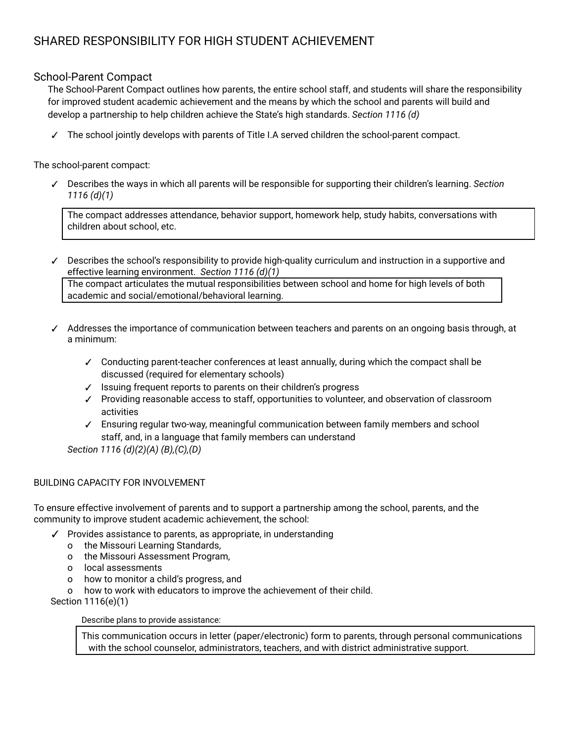# SHARED RESPONSIBILITY FOR HIGH STUDENT ACHIEVEMENT

# School-Parent Compact

The School-Parent Compact outlines how parents, the entire school staff, and students will share the responsibility for improved student academic achievement and the means by which the school and parents will build and develop a partnership to help children achieve the State's high standards. *Section 1116 (d)*

✓ The school jointly develops with parents of Title I.A served children the school-parent compact.

The school-parent compact:

✓ Describes the ways in which all parents will be responsible for supporting their children's learning. *Section 1116 (d)(1)*

The compact addresses attendance, behavior support, homework help, study habits, conversations with children about school, etc.

- ✓ Describes the school's responsibility to provide high-quality curriculum and instruction in a supportive and effective learning environment. *Section 1116 (d)(1)* The compact articulates the mutual responsibilities between school and home for high levels of both academic and social/emotional/behavioral learning.
- ✓ Addresses the importance of communication between teachers and parents on an ongoing basis through, at a minimum:
	- ✓ Conducting parent-teacher conferences at least annually, during which the compact shall be discussed (required for elementary schools)
	- ✓ Issuing frequent reports to parents on their children's progress
	- ✓ Providing reasonable access to staff, opportunities to volunteer, and observation of classroom activities
	- ✓ Ensuring regular two-way, meaningful communication between family members and school staff, and, in a language that family members can understand

*Section 1116 (d)(2)(A) (B),(C),(D)*

#### BUILDING CAPACITY FOR INVOLVEMENT

To ensure effective involvement of parents and to support a partnership among the school, parents, and the community to improve student academic achievement, the school:

- ✓ Provides assistance to parents, as appropriate, in understanding
	- o the Missouri Learning Standards,
	- o the Missouri Assessment Program,
	- o local assessments
	- o how to monitor a child's progress, and
	- o how to work with educators to improve the achievement of their child.

Section 1116(e)(1)

Describe plans to provide assistance:

This communication occurs in letter (paper/electronic) form to parents, through personal communications with the school counselor, administrators, teachers, and with district administrative support.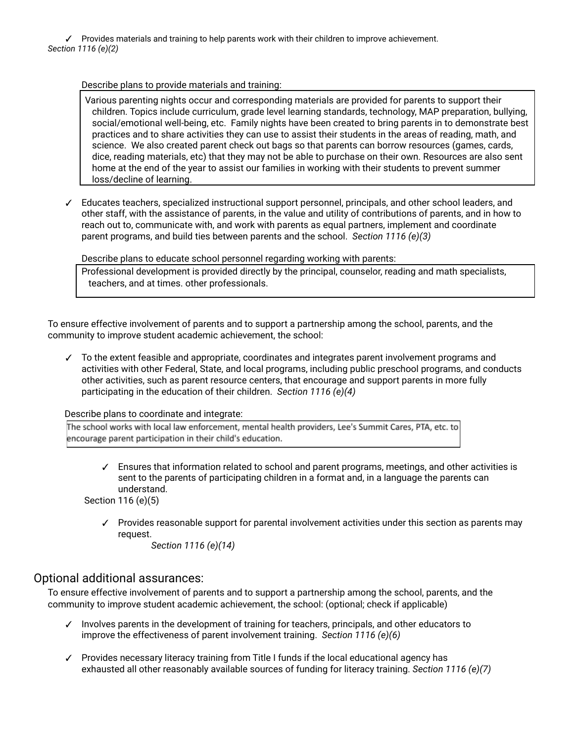✓ Provides materials and training to help parents work with their children to improve achievement. *Section 1116 (e)(2)*

Describe plans to provide materials and training:

Various parenting nights occur and corresponding materials are provided for parents to support their children. Topics include curriculum, grade level learning standards, technology, MAP preparation, bullying, social/emotional well-being, etc. Family nights have been created to bring parents in to demonstrate best practices and to share activities they can use to assist their students in the areas of reading, math, and science. We also created parent check out bags so that parents can borrow resources (games, cards, dice, reading materials, etc) that they may not be able to purchase on their own. Resources are also sent home at the end of the year to assist our families in working with their students to prevent summer loss/decline of learning.

✓ Educates teachers, specialized instructional support personnel, principals, and other school leaders, and other staff, with the assistance of parents, in the value and utility of contributions of parents, and in how to reach out to, communicate with, and work with parents as equal partners, implement and coordinate parent programs, and build ties between parents and the school. *Section 1116 (e)(3)*

Describe plans to educate school personnel regarding working with parents:

Professional development is provided directly by the principal, counselor, reading and math specialists, teachers, and at times. other professionals.

To ensure effective involvement of parents and to support a partnership among the school, parents, and the community to improve student academic achievement, the school:

✓ To the extent feasible and appropriate, coordinates and integrates parent involvement programs and activities with other Federal, State, and local programs, including public preschool programs, and conducts other activities, such as parent resource centers, that encourage and support parents in more fully participating in the education of their children. *Section 1116 (e)(4)*

Describe plans to coordinate and integrate:

The school works with local law enforcement, mental health providers, Lee's Summit Cares, PTA, etc. to encourage parent participation in their child's education.

✓ Ensures that information related to school and parent programs, meetings, and other activities is sent to the parents of participating children in a format and, in a language the parents can understand.

Section 116 (e)(5)

✓ Provides reasonable support for parental involvement activities under this section as parents may request.

*Section 1116 (e)(14)*

# Optional additional assurances:

To ensure effective involvement of parents and to support a partnership among the school, parents, and the community to improve student academic achievement, the school: (optional; check if applicable)

- ✓ Involves parents in the development of training for teachers, principals, and other educators to improve the effectiveness of parent involvement training. *Section 1116 (e)(6)*
- ✓ Provides necessary literacy training from Title I funds if the local educational agency has exhausted all other reasonably available sources of funding for literacy training. *Section 1116 (e)(7)*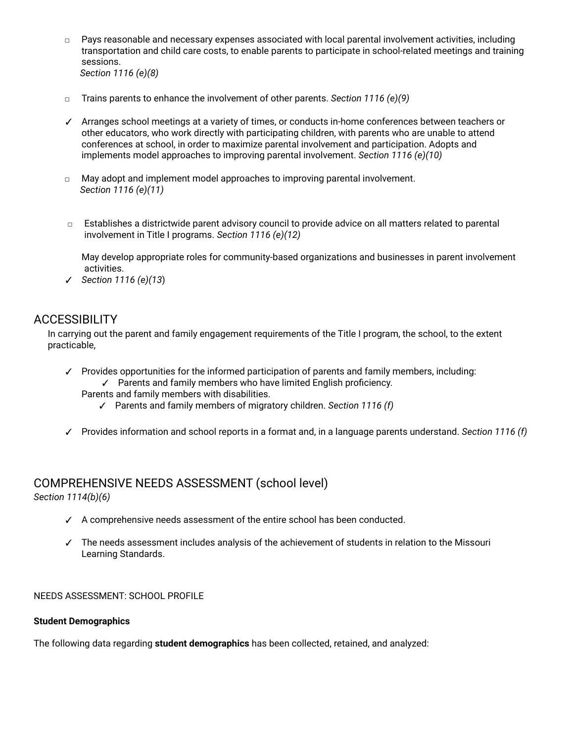- *□* Pays reasonable and necessary expenses associated with local parental involvement activities, including transportation and child care costs, to enable parents to participate in school-related meetings and training sessions. *Section 1116 (e)(8)*
- *□* Trains parents to enhance the involvement of other parents. *Section 1116 (e)(9)*
- ✓ Arranges school meetings at a variety of times, or conducts in-home conferences between teachers or other educators, who work directly with participating children, with parents who are unable to attend conferences at school, in order to maximize parental involvement and participation. Adopts and implements model approaches to improving parental involvement. *Section 1116 (e)(10)*
- *□* May adopt and implement model approaches to improving parental involvement. *Section 1116 (e)(11)*
- *□* Establishes a districtwide parent advisory council to provide advice on all matters related to parental involvement in Title I programs. *Section 1116 (e)(12)*

May develop appropriate roles for community-based organizations and businesses in parent involvement activities.

✓ *Section 1116 (e)(13*)

# **ACCESSIBILITY**

In carrying out the parent and family engagement requirements of the Title I program, the school, to the extent practicable,

- ✓ Provides opportunities for the informed participation of parents and family members, including: ✓ Parents and family members who have limited English proficiency. Parents and family members with disabilities.
	- ✓ Parents and family members of migratory children. *Section 1116 (f)*
- ✓ Provides information and school reports in a format and, in a language parents understand. *Section 1116 (f)*

# COMPREHENSIVE NEEDS ASSESSMENT (school level)

*Section 1114(b)(6)*

- ✓ A comprehensive needs assessment of the entire school has been conducted.
- ✓ The needs assessment includes analysis of the achievement of students in relation to the Missouri Learning Standards.

#### NEEDS ASSESSMENT: SCHOOL PROFILE

#### **Student Demographics**

The following data regarding **student demographics** has been collected, retained, and analyzed: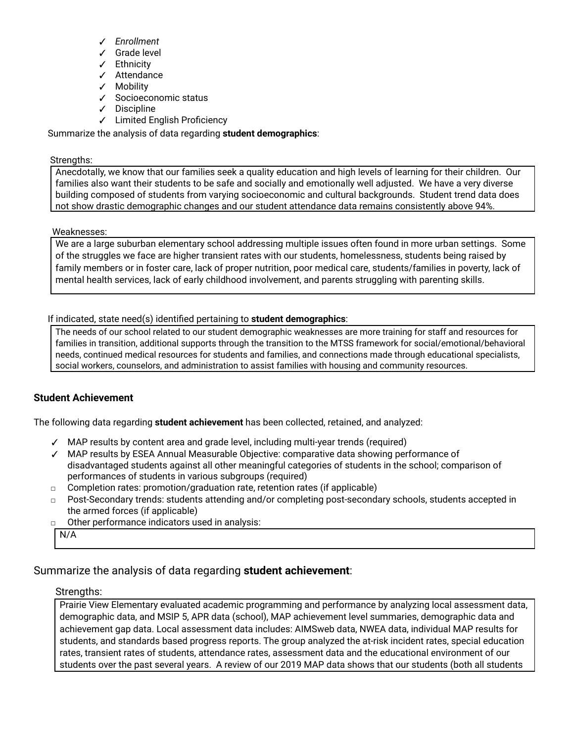- ✓ *Enrollment*
- ✓ Grade level
- ✓ Ethnicity
- ✓ Attendance
- ✓ Mobility
- ✓ Socioeconomic status
- ✓ Discipline
- ✓ Limited English Proficiency

Summarize the analysis of data regarding **student demographics**:

#### Strengths:

Anecdotally, we know that our families seek a quality education and high levels of learning for their children. Our families also want their students to be safe and socially and emotionally well adjusted. We have a very diverse building composed of students from varying socioeconomic and cultural backgrounds. Student trend data does not show drastic demographic changes and our student attendance data remains consistently above 94%.

#### Weaknesses:

We are a large suburban elementary school addressing multiple issues often found in more urban settings. Some of the struggles we face are higher transient rates with our students, homelessness, students being raised by family members or in foster care, lack of proper nutrition, poor medical care, students/families in poverty, lack of mental health services, lack of early childhood involvement, and parents struggling with parenting skills.

If indicated, state need(s) identified pertaining to **student demographics**:

The needs of our school related to our student demographic weaknesses are more training for staff and resources for families in transition, additional supports through the transition to the MTSS framework for social/emotional/behavioral needs, continued medical resources for students and families, and connections made through educational specialists, social workers, counselors, and administration to assist families with housing and community resources.

## **Student Achievement**

The following data regarding **student achievement** has been collected, retained, and analyzed:

- ✓ MAP results by content area and grade level, including multi-year trends (required)
- ✓ MAP results by ESEA Annual Measurable Objective: comparative data showing performance of disadvantaged students against all other meaningful categories of students in the school; comparison of performances of students in various subgroups (required)
- □ Completion rates: promotion/graduation rate, retention rates (if applicable)
- □ Post-Secondary trends: students attending and/or completing post-secondary schools, students accepted in the armed forces (if applicable)
- □ Other performance indicators used in analysis:

N/A

# Summarize the analysis of data regarding **student achievement**:

#### Strengths:

Prairie View Elementary evaluated academic programming and performance by analyzing local assessment data, demographic data, and MSIP 5, APR data (school), MAP achievement level summaries, demographic data and achievement gap data. Local assessment data includes: AIMSweb data, NWEA data, individual MAP results for students, and standards based progress reports. The group analyzed the at-risk incident rates, special education rates, transient rates of students, attendance rates, assessment data and the educational environment of our students over the past several years. A review of our 2019 MAP data shows that our students (both all students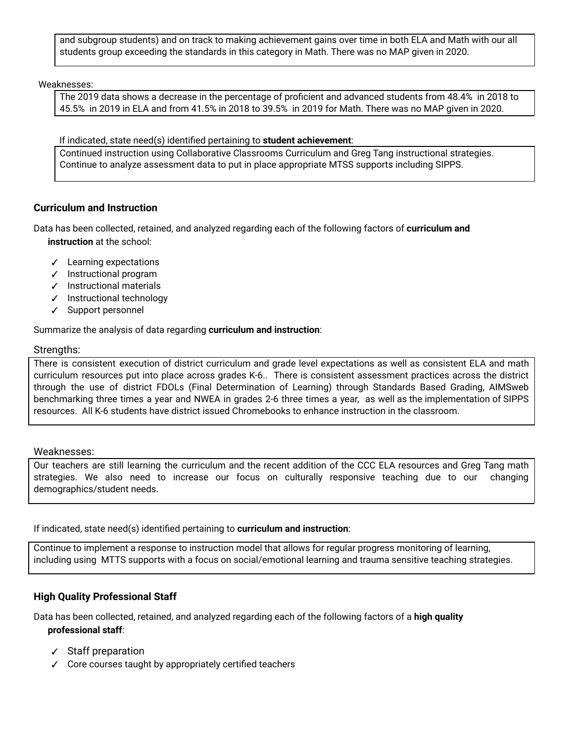and subgroup students) and on track to making achievement gains over time in both ELA and Math with our all students group exceeding the standards in this category in Math. There was no MAP given in 2020.

Weaknesses:

The 2019 data shows a decrease in the percentage of proficient and advanced students from 48.4% in 2018 to 45.5% in 2019 in ELA and from 41.5% in 2018 to 39.5% in 2019 for Math. There was no MAP given in 2020.

#### If indicated, state need(s) identified pertaining to **student achievement**:

Continued instruction using Collaborative Classrooms Curriculum and Greg Tang instructional strategies. Continue to analyze assessment data to put in place appropriate MTSS supports including SIPPS.

## **Curriculum and Instruction**

Data has been collected, retained, and analyzed regarding each of the following factors of **curriculum and instruction** at the school:

- ✓ Learning expectations
- ✓ Instructional program
- ✓ Instructional materials
- ✓ Instructional technology
- ✓ Support personnel

Summarize the analysis of data regarding **curriculum and instruction**:

#### Strengths:

There is consistent execution of district curriculum and grade level expectations as well as consistent ELA and math curriculum resources put into place across grades K-6.. There is consistent assessment practices across the district through the use of district FDOLs (Final Determination of Learning) through Standards Based Grading, AIMSweb benchmarking three times a year and NWEA in grades 2-6 three times a year, as well as the implementation of SIPPS resources. All K-6 students have district issued Chromebooks to enhance instruction in the classroom.

#### Weaknesses:

Our teachers are still learning the curriculum and the recent addition of the CCC ELA resources and Greg Tang math strategies. We also need to increase our focus on culturally responsive teaching due to our changing demographics/student needs.

If indicated, state need(s) identified pertaining to **curriculum and instruction**:

Continue to implement a response to instruction model that allows for regular progress monitoring of learning, including using MTTS supports with a focus on social/emotional learning and trauma sensitive teaching strategies.

## **High Quality Professional Staff**

Data has been collected, retained, and analyzed regarding each of the following factors of a **high quality professional staff**:

- ✓ Staff preparation
- ✓ Core courses taught by appropriately certified teachers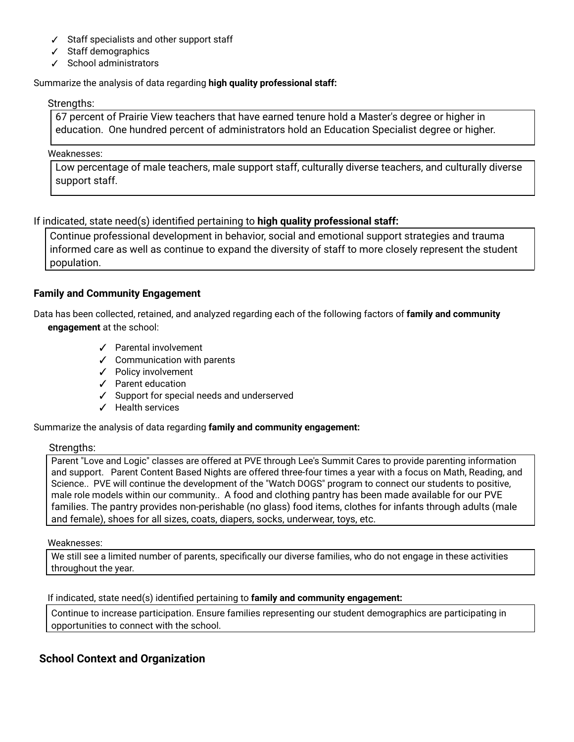- ✓ Staff specialists and other support staff
- ✓ Staff demographics
- ✓ School administrators

## Summarize the analysis of data regarding **high quality professional staff:**

#### Strengths:

67 percent of Prairie View teachers that have earned tenure hold a Master's degree or higher in education. One hundred percent of administrators hold an Education Specialist degree or higher.

#### Weaknesses:

Low percentage of male teachers, male support staff, culturally diverse teachers, and culturally diverse support staff.

If indicated, state need(s) identified pertaining to **high quality professional staff:**

Continue professional development in behavior, social and emotional support strategies and trauma informed care as well as continue to expand the diversity of staff to more closely represent the student population.

# **Family and Community Engagement**

Data has been collected, retained, and analyzed regarding each of the following factors of **family and community engagement** at the school:

- ✓ Parental involvement
- ✓ Communication with parents
- ✓ Policy involvement
- ✓ Parent education
- ✓ Support for special needs and underserved
- ✓ Health services

Summarize the analysis of data regarding **family and community engagement:**

## Strengths:

Parent "Love and Logic" classes are offered at PVE through Lee's Summit Cares to provide parenting information and support. Parent Content Based Nights are offered three-four times a year with a focus on Math, Reading, and Science.. PVE will continue the development of the "Watch DOGS" program to connect our students to positive, male role models within our community.. A food and clothing pantry has been made available for our PVE families. The pantry provides non-perishable (no glass) food items, clothes for infants through adults (male and female), shoes for all sizes, coats, diapers, socks, underwear, toys, etc.

#### Weaknesses:

We still see a limited number of parents, specifically our diverse families, who do not engage in these activities throughout the year.

## If indicated, state need(s) identified pertaining to **family and community engagement:**

Continue to increase participation. Ensure families representing our student demographics are participating in opportunities to connect with the school.

# **School Context and Organization**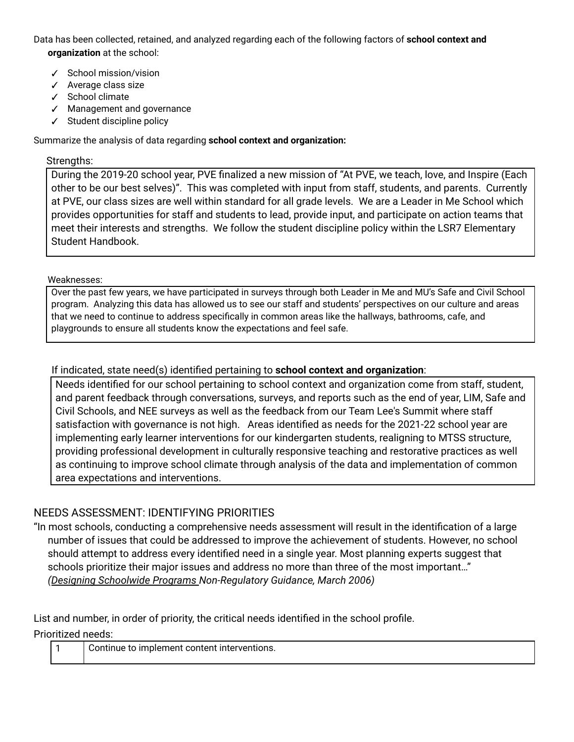Data has been collected, retained, and analyzed regarding each of the following factors of **school context and organization** at the school:

- ✓ School mission/vision
- ✓ Average class size
- ✓ School climate
- ✓ Management and governance
- ✓ Student discipline policy

Summarize the analysis of data regarding **school context and organization:**

## Strengths:

During the 2019-20 school year, PVE finalized a new mission of "At PVE, we teach, love, and Inspire (Each other to be our best selves)". This was completed with input from staff, students, and parents. Currently at PVE, our class sizes are well within standard for all grade levels. We are a Leader in Me School which provides opportunities for staff and students to lead, provide input, and participate on action teams that meet their interests and strengths. We follow the student discipline policy within the LSR7 Elementary Student Handbook.

#### Weaknesses:

Over the past few years, we have participated in surveys through both Leader in Me and MU's Safe and Civil School program. Analyzing this data has allowed us to see our staff and students' perspectives on our culture and areas that we need to continue to address specifically in common areas like the hallways, bathrooms, cafe, and playgrounds to ensure all students know the expectations and feel safe.

# If indicated, state need(s) identified pertaining to **school context and organization**:

Needs identified for our school pertaining to school context and organization come from staff, student, and parent feedback through conversations, surveys, and reports such as the end of year, LIM, Safe and Civil Schools, and NEE surveys as well as the feedback from our Team Lee's Summit where staff satisfaction with governance is not high. Areas identified as needs for the 2021-22 school year are implementing early learner interventions for our kindergarten students, realigning to MTSS structure, providing professional development in culturally responsive teaching and restorative practices as well as continuing to improve school climate through analysis of the data and implementation of common area expectations and interventions.

# NEEDS ASSESSMENT: IDENTIFYING PRIORITIES

"In most schools, conducting a comprehensive needs assessment will result in the identification of a large number of issues that could be addressed to improve the achievement of students. However, no school should attempt to address every identified need in a single year. Most planning experts suggest that schools prioritize their major issues and address no more than three of the most important…" *(Designing [Schoolwide](http://dese.mo.gov/sites/default/files/Schoolwide_Plan_03_06.pdf) Programs Non-Regulatory Guidance, March 2006)*

List and number, in order of priority, the critical needs identified in the school profile.

Prioritized needs:

| Continue to implement content interventions. |
|----------------------------------------------|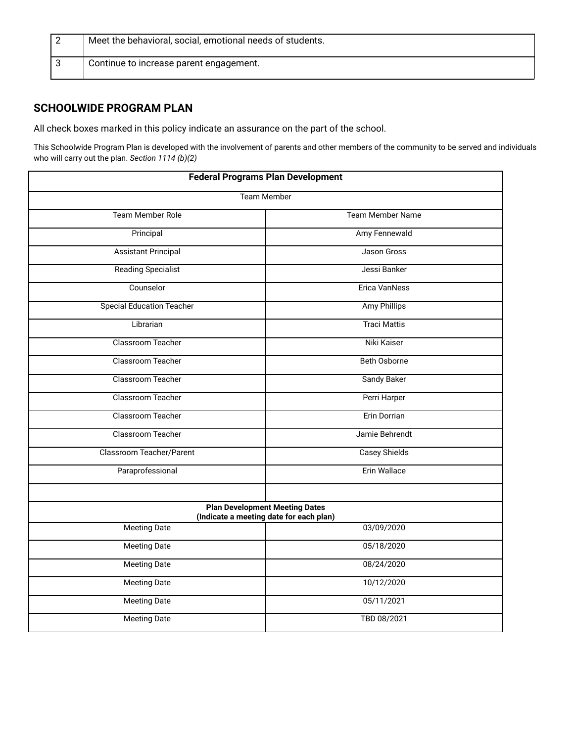| Meet the behavioral, social, emotional needs of students. |
|-----------------------------------------------------------|
| Continue to increase parent engagement.                   |

# **SCHOOLWIDE PROGRAM PLAN**

All check boxes marked in this policy indicate an assurance on the part of the school.

This Schoolwide Program Plan is developed with the involvement of parents and other members of the community to be served and individuals who will carry out the plan. *Section 1114 (b)(2)*

| <b>Federal Programs Plan Development</b> |                                                                                  |  |  |
|------------------------------------------|----------------------------------------------------------------------------------|--|--|
| <b>Team Member</b>                       |                                                                                  |  |  |
| <b>Team Member Role</b>                  | <b>Team Member Name</b>                                                          |  |  |
| Principal                                | Amy Fennewald                                                                    |  |  |
| <b>Assistant Principal</b>               | <b>Jason Gross</b>                                                               |  |  |
| <b>Reading Specialist</b>                | Jessi Banker                                                                     |  |  |
| Counselor                                | <b>Erica VanNess</b>                                                             |  |  |
| <b>Special Education Teacher</b>         | <b>Amy Phillips</b>                                                              |  |  |
| Librarian                                | <b>Traci Mattis</b>                                                              |  |  |
| Classroom Teacher                        | Niki Kaiser                                                                      |  |  |
| Classroom Teacher                        | Beth Osborne                                                                     |  |  |
| Classroom Teacher                        | <b>Sandy Baker</b>                                                               |  |  |
| Classroom Teacher                        | Perri Harper                                                                     |  |  |
| Classroom Teacher                        | Erin Dorrian                                                                     |  |  |
| Classroom Teacher                        | Jamie Behrendt                                                                   |  |  |
| Classroom Teacher/Parent                 | <b>Casey Shields</b>                                                             |  |  |
| Paraprofessional                         | Erin Wallace                                                                     |  |  |
|                                          |                                                                                  |  |  |
|                                          | <b>Plan Development Meeting Dates</b><br>(Indicate a meeting date for each plan) |  |  |
| <b>Meeting Date</b>                      | 03/09/2020                                                                       |  |  |
| <b>Meeting Date</b>                      | 05/18/2020                                                                       |  |  |
| <b>Meeting Date</b>                      | 08/24/2020                                                                       |  |  |
| <b>Meeting Date</b>                      | 10/12/2020                                                                       |  |  |
| <b>Meeting Date</b>                      | 05/11/2021                                                                       |  |  |
| <b>Meeting Date</b>                      | TBD 08/2021                                                                      |  |  |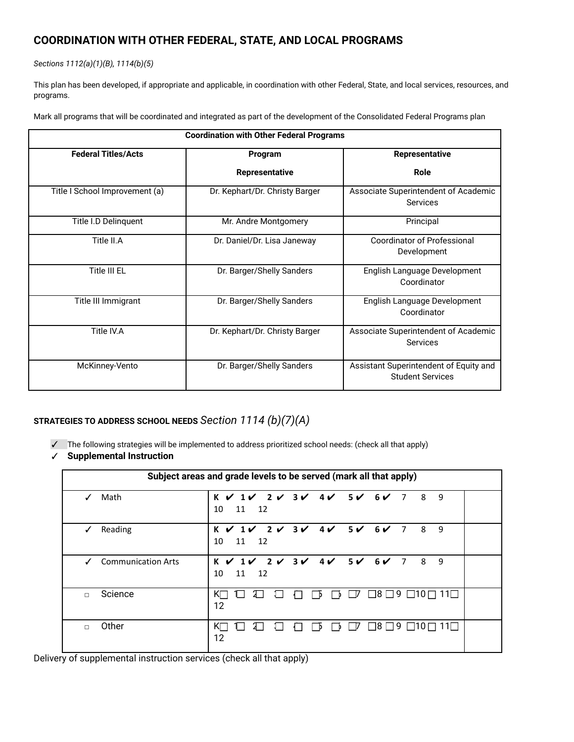# **COORDINATION WITH OTHER FEDERAL, STATE, AND LOCAL PROGRAMS**

#### *Sections 1112(a)(1)(B), 1114(b)(5)*

This plan has been developed, if appropriate and applicable, in coordination with other Federal, State, and local services, resources, and programs.

Mark all programs that will be coordinated and integrated as part of the development of the Consolidated Federal Programs plan

| <b>Coordination with Other Federal Programs</b> |                                |                                                                   |  |
|-------------------------------------------------|--------------------------------|-------------------------------------------------------------------|--|
| <b>Federal Titles/Acts</b>                      | Program                        | <b>Representative</b>                                             |  |
|                                                 | Representative                 | Role                                                              |  |
| Title I School Improvement (a)                  | Dr. Kephart/Dr. Christy Barger | Associate Superintendent of Academic<br><b>Services</b>           |  |
| Title I.D Delinquent                            | Mr. Andre Montgomery           | Principal                                                         |  |
| Title II.A                                      | Dr. Daniel/Dr. Lisa Janeway    | <b>Coordinator of Professional</b><br>Development                 |  |
| Title III EL                                    | Dr. Barger/Shelly Sanders      | English Language Development<br>Coordinator                       |  |
| Title III Immigrant                             | Dr. Barger/Shelly Sanders      | English Language Development<br>Coordinator                       |  |
| Title IV.A                                      | Dr. Kephart/Dr. Christy Barger | Associate Superintendent of Academic<br><b>Services</b>           |  |
| McKinney-Vento                                  | Dr. Barger/Shelly Sanders      | Assistant Superintendent of Equity and<br><b>Student Services</b> |  |

# **STRATEGIES TO ADDRESS SCHOOL NEEDS** *Section 1114 (b)(7)(A)*

✓ The following strategies will be implemented to address prioritized school needs: (check all that apply)

#### ✓ **Supplemental Instruction**

| Subject areas and grade levels to be served (mark all that apply) |                                                                                                                                                                 |  |  |
|-------------------------------------------------------------------|-----------------------------------------------------------------------------------------------------------------------------------------------------------------|--|--|
| Math<br>✓                                                         | $K$ $V$ $1$ $V$ $2$ $V$ $3$ $V$ $4$ $V$ $5$ $V$ $6$ $V$ $7$<br>8 <sup>8</sup><br>9<br>10<br>11<br>12                                                            |  |  |
| Reading<br>✓                                                      | $K$ $V$ $1$ $V$ $2$ $V$ $3$ $V$ $4$ $V$ $5$ $V$ $6$ $V$ $7$<br>8<br>9<br>11<br>10<br>12                                                                         |  |  |
| <b>Communication Arts</b><br>✓                                    | $K$ $\checkmark$ 1 $\checkmark$ 2 $\checkmark$ 3 $\checkmark$ 4 $\checkmark$ 5 $\checkmark$ 6 $\checkmark$ 7<br>$\overline{\phantom{0}}$<br>9<br>10<br>11<br>12 |  |  |
| Science<br>$\Box$                                                 | $\Box$ 8 $\Box$ 9 $\Box$ 10 $\Box$<br>$11\square$<br>KП<br>ΓV<br>ŹΙ<br>11<br>Гb<br>$\mathsf{L}$<br>12                                                           |  |  |
| Other<br>$\Box$                                                   | $\Box 8 \Box 9 \Box 10 \Box 11 \Box$<br>KΠ<br>LΙ<br>1 I<br>ו צ<br>Ιb<br>$\mathbf{I}$<br>12                                                                      |  |  |

Delivery of supplemental instruction services (check all that apply)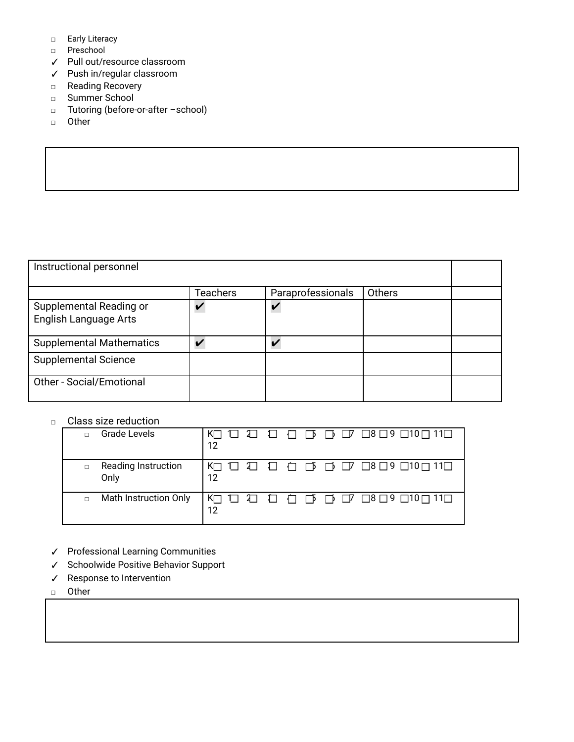- □ Early Literacy
- □ Preschool
- ✓ Pull out/resource classroom
- ✓ Push in/regular classroom
- □ Reading Recovery
- □ Summer School
- □ Tutoring (before-or-after –school)
- □ Other

| Instructional personnel                                 |          |                         |               |  |
|---------------------------------------------------------|----------|-------------------------|---------------|--|
|                                                         | Teachers | Paraprofessionals       | <b>Others</b> |  |
| Supplemental Reading or<br><b>English Language Arts</b> |          | $\overline{\mathbf{A}}$ |               |  |
| <b>Supplemental Mathematics</b>                         |          |                         |               |  |
| <b>Supplemental Science</b>                             |          |                         |               |  |
| Other - Social/Emotional                                |          |                         |               |  |

□ Class size reduction

| Grade Levels                          | 12 |
|---------------------------------------|----|
| Reading Instruction<br>$\Box$<br>Only | 12 |
| <b>Math Instruction Only</b>          | 12 |

- ✓ Professional Learning Communities
- ✓ Schoolwide Positive Behavior Support
- ✓ Response to Intervention
- □ Other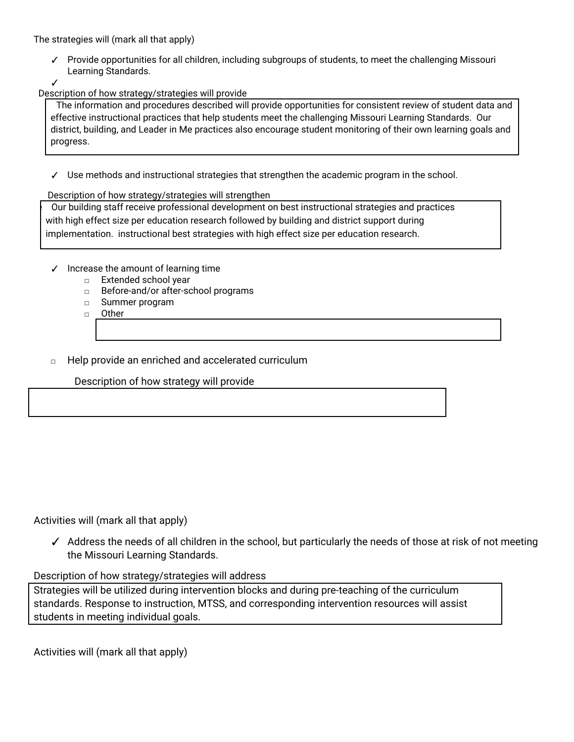The strategies will (mark all that apply)

✓ Provide opportunities for all children, including subgroups of students, to meet the challenging Missouri Learning Standards.

✓

Description of how strategy/strategies will provide

The information and procedures described will provide opportunities for consistent review of student data and effective instructional practices that help students meet the challenging Missouri Learning Standards. Our district, building, and Leader in Me practices also encourage student monitoring of their own learning goals and progress.

✓ Use methods and instructional strategies that strengthen the academic program in the school.

#### Description of how strategy/strategies will strengthen

e Our building staff receive professional development on best instructional strategies and practices with high effect size per education research followed by building and district support during implementation. instructional best strategies with high effect size per education research.

- ✓ Increase the amount of learning time
	- □ Extended school year
	- □ Before-and/or after-school programs
	- □ Summer program

□ Other

## Help provide an enriched and accelerated curriculum

Description of how strategy will provide

Activities will (mark all that apply)

✓ Address the needs of all children in the school, but particularly the needs of those at risk of not meeting the Missouri Learning Standards.

## Description of how strategy/strategies will address

Strategies will be utilized during intervention blocks and during pre-teaching of the curriculum standards. Response to instruction, MTSS, and corresponding intervention resources will assist students in meeting individual goals.

Activities will (mark all that apply)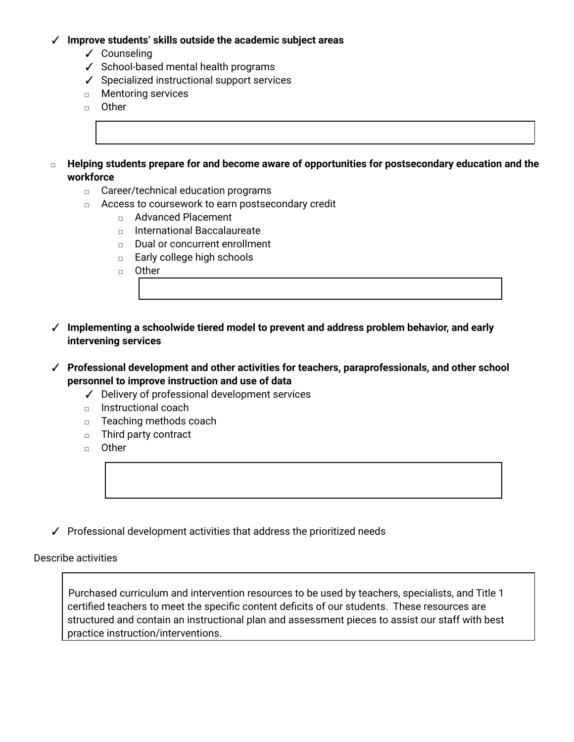## ✓ **Improve students' skills outside the academic subject areas**

- ✓ Counseling
- ✓ School-based mental health programs
- ✓ Specialized instructional support services
- □ Mentoring services
- □ Other
- **□ Helping students prepare for and become aware of opportunities for postsecondary education and the workforce**
	- □ Career/technical education programs
	- □ Access to coursework to earn postsecondary credit
		- □ Advanced Placement
		- □ International Baccalaureate
		- □ Dual or concurrent enrollment
		- □ Early college high schools
		- □ Other
- ✓ **Implementing a schoolwide tiered model to prevent and address problem behavior, and early intervening services**
- ✓ **Professional development and other activities for teachers, paraprofessionals, and other school personnel to improve instruction and use of data**
	- ✓ Delivery of professional development services
	- □ Instructional coach
	- □ Teaching methods coach
	- □ Third party contract
	- **□** Other
- ✓ Professional development activities that address the prioritized needs

Describe activities

Purchased curriculum and intervention resources to be used by teachers, specialists, and Title 1 certified teachers to meet the specific content deficits of our students. These resources are structured and contain an instructional plan and assessment pieces to assist our staff with best practice instruction/interventions.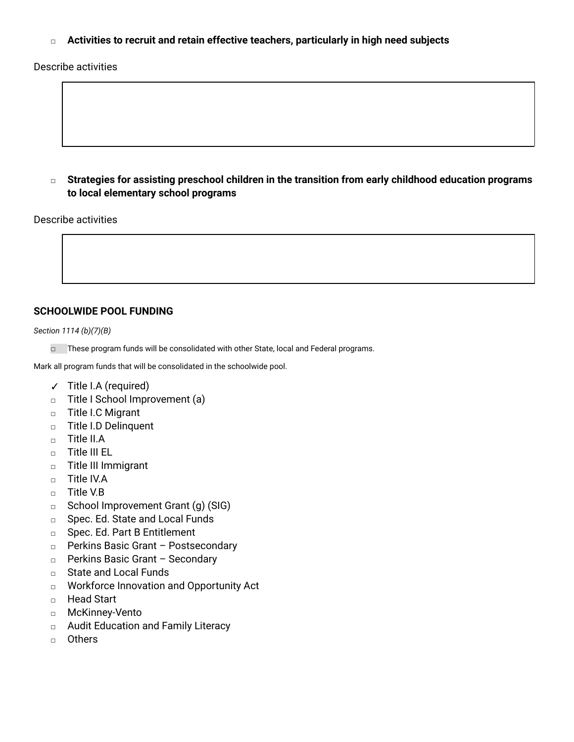**□ Activities to recruit and retain effective teachers, particularly in high need subjects**

Describe activities

**□ Strategies for assisting preschool children in the transition from early childhood education programs to local elementary school programs**

#### Describe activities

## **SCHOOLWIDE POOL FUNDING**

*Section 1114 (b)(7)(B)*

□ These program funds will be consolidated with other State, local and Federal programs.

Mark all program funds that will be consolidated in the schoolwide pool.

- ✓ Title I.A (required)
- □ Title I School Improvement (a)
- □ Title I.C Migrant
- □ Title I.D Delinquent
- □ Title II.A
- □ Title III EL
- □ Title III Immigrant
- □ Title IV.A
- □ Title V.B
- □ School Improvement Grant (q) (SIG)
- □ Spec. Ed. State and Local Funds
- □ Spec. Ed. Part B Entitlement
- □ Perkins Basic Grant Postsecondary
- □ Perkins Basic Grant Secondary
- □ State and Local Funds
- □ Workforce Innovation and Opportunity Act
- □ Head Start
- □ McKinney-Vento
- □ Audit Education and Family Literacy
- □ Others